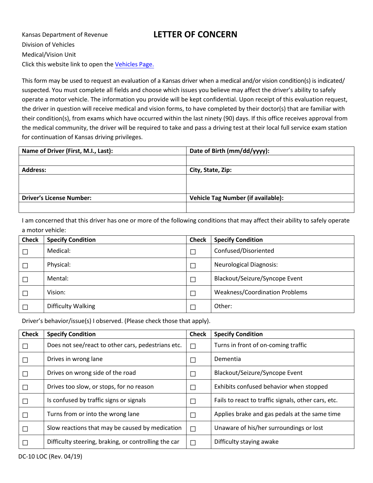Kansas Department of Revenue **LETTER OF CONCERN** Division of Vehicles Medical/Vision Unit Click this website link to open the [Vehicles Page.](http://www.ksrevenue.org/vehicle.html)

This form may be used to request an evaluation of a Kansas driver when a medical and/or vision condition(s) is indicated/ suspected. You must complete all fields and choose which issues you believe may affect the driver's ability to safely operate a motor vehicle. The information you provide will be kept confidential. Upon receipt of this evaluation request, the driver in question will receive medical and vision forms, to have completed by their doctor(s) that are familiar with their condition(s), from exams which have occurred within the last ninety (90) days. If this office receives approval from the medical community, the driver will be required to take and pass a driving test at their local full service exam station for continuation of Kansas driving privileges.

| Name of Driver (First, M.I., Last): | Date of Birth (mm/dd/yyyy):               |
|-------------------------------------|-------------------------------------------|
|                                     |                                           |
| <b>Address:</b>                     | City, State, Zip:                         |
|                                     |                                           |
|                                     |                                           |
| <b>Driver's License Number:</b>     | <b>Vehicle Tag Number (if available):</b> |
|                                     |                                           |

I am concerned that this driver has one or more of the following conditions that may affect their ability to safely operate a motor vehicle:

| <b>Check</b> | <b>Specify Condition</b> | <b>Check</b> | <b>Specify Condition</b>              |  |
|--------------|--------------------------|--------------|---------------------------------------|--|
|              | Medical:                 |              | Confused/Disoriented                  |  |
|              | Physical:                |              | <b>Neurological Diagnosis:</b>        |  |
|              | Mental:                  |              | Blackout/Seizure/Syncope Event        |  |
|              | Vision:                  |              | <b>Weakness/Coordination Problems</b> |  |
|              | Difficulty Walking       |              | Other:                                |  |

Driver's behavior/issue(s) I observed. (Please check those that apply).

| <b>Check</b> | <b>Specify Condition</b>                             | <b>Check</b> | <b>Specify Condition</b>                            |
|--------------|------------------------------------------------------|--------------|-----------------------------------------------------|
|              | Does not see/react to other cars, pedestrians etc.   | $\Box$       | Turns in front of on-coming traffic                 |
|              | Drives in wrong lane                                 | $\Box$       | Dementia                                            |
|              | Drives on wrong side of the road                     | $\Box$       | Blackout/Seizure/Syncope Event                      |
|              | Drives too slow, or stops, for no reason             | $\Box$       | Exhibits confused behavior when stopped             |
|              | Is confused by traffic signs or signals              | $\Box$       | Fails to react to traffic signals, other cars, etc. |
| П            | Turns from or into the wrong lane                    | $\Box$       | Applies brake and gas pedals at the same time       |
|              | Slow reactions that may be caused by medication      | $\Box$       | Unaware of his/her surroundings or lost             |
|              | Difficulty steering, braking, or controlling the car | $\Box$       | Difficulty staying awake                            |